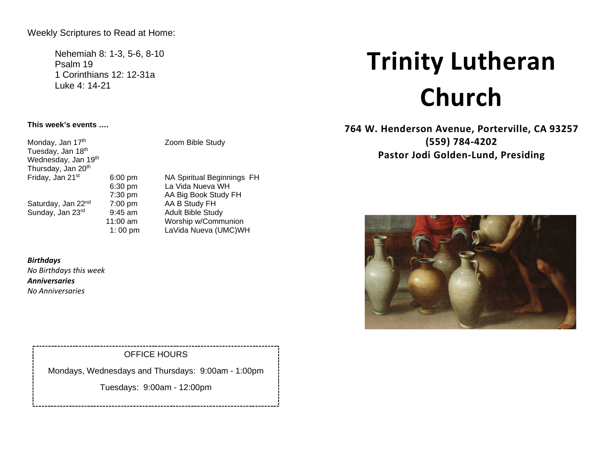Weekly Scriptures to Read at Home:

Nehemiah 8: 1-3, 5-6, 8-10 Psalm 19 1 Corinthians 12: 12-31a Luke 4: 14-21

# **This week's events ….**

Monday, Jan  $17<sup>th</sup>$  Zoom Bible Study Tuesday, Jan 18th Wednesday, Jan 19<sup>th</sup> Thursday, Jan 20<sup>th</sup><br>Friday, Jan 21<sup>st</sup> Saturday, Jan  $22^{nd}$  7:00 pm<br>Sunday, Jan  $23^{rd}$  9:45 am

6:00 pm NA Spiritual Beginnings FH<br>6:30 pm La Vida Nueva WH La Vida Nueva WH 7:30 pm AA Big Book Study FH<br>7:00 pm AA B Study FH Adult Bible Study 11:00 am Worship w/Communion 1: 00 pm LaVida Nueva (UMC)WH

#### *Birthdays*

*No Birthdays this week Anniversaries No Anniversaries* 

# OFFICE HOURS

Mondays, Wednesdays and Thursdays: 9:00am - 1:00pm

Tuesdays: 9:00am - 12:00pm

# **Trinity Lutheran Church**

**764 W. Henderson Avenue, Porterville, CA 93257 (559) 784-4202 Pastor Jodi Golden-Lund, Presiding**